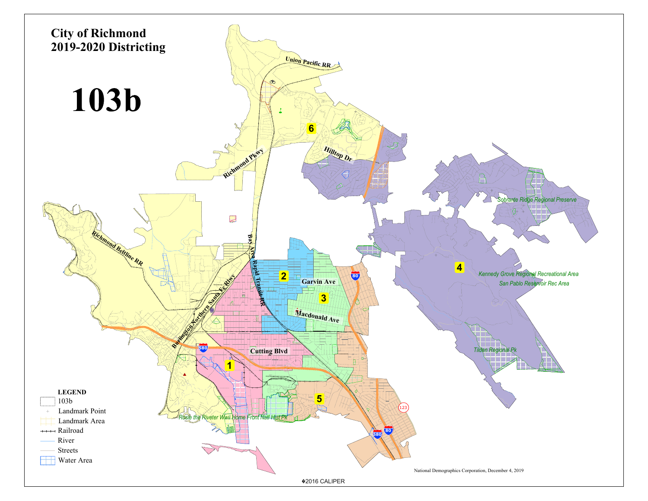